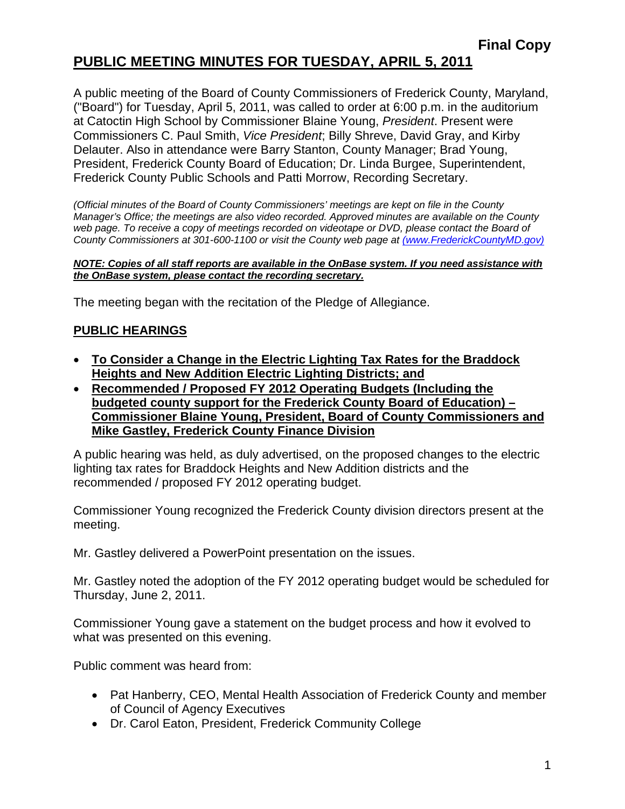# **PUBLIC MEETING MINUTES FOR TUESDAY, APRIL 5, 2011**

A public meeting of the Board of County Commissioners of Frederick County, Maryland, ("Board") for Tuesday, April 5, 2011, was called to order at 6:00 p.m. in the auditorium at Catoctin High School by Commissioner Blaine Young, *President*. Present were Commissioners C. Paul Smith, *Vice President*; Billy Shreve, David Gray, and Kirby Delauter. Also in attendance were Barry Stanton, County Manager; Brad Young, President, Frederick County Board of Education; Dr. Linda Burgee, Superintendent, Frederick County Public Schools and Patti Morrow, Recording Secretary.

*(Official minutes of the Board of County Commissioners' meetings are kept on file in the County Manager's Office; the meetings are also video recorded. Approved minutes are available on the County*  web page. To receive a copy of meetings recorded on videotape or DVD, please contact the Board of *County Commissioners at 301-600-1100 or visit the County web page at (www.FrederickCountyMD.gov)*

#### *NOTE: Copies of all staff reports are available in the OnBase system. If you need assistance with the OnBase system, please contact the recording secretary.*

The meeting began with the recitation of the Pledge of Allegiance.

#### **PUBLIC HEARINGS**

- **To Consider a Change in the Electric Lighting Tax Rates for the Braddock Heights and New Addition Electric Lighting Districts; and**
- **Recommended / Proposed FY 2012 Operating Budgets (Including the budgeted county support for the Frederick County Board of Education) – Commissioner Blaine Young, President, Board of County Commissioners and Mike Gastley, Frederick County Finance Division**

A public hearing was held, as duly advertised, on the proposed changes to the electric lighting tax rates for Braddock Heights and New Addition districts and the recommended / proposed FY 2012 operating budget.

Commissioner Young recognized the Frederick County division directors present at the meeting.

Mr. Gastley delivered a PowerPoint presentation on the issues.

Mr. Gastley noted the adoption of the FY 2012 operating budget would be scheduled for Thursday, June 2, 2011.

Commissioner Young gave a statement on the budget process and how it evolved to what was presented on this evening.

Public comment was heard from:

- Pat Hanberry, CEO, Mental Health Association of Frederick County and member of Council of Agency Executives
- Dr. Carol Eaton, President, Frederick Community College